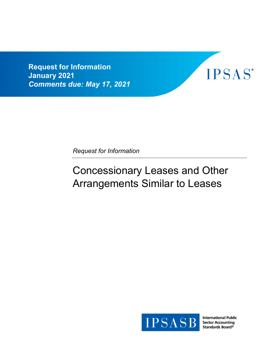**Request for Information January 2021**  *Comments due: May 17, 2021*



*Request for Information*

# Concessionary Leases and Other Arrangements Similar to Leases



**International Public Sector Accounting** Standards Board®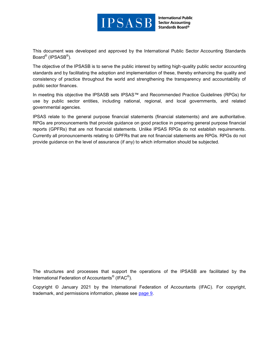

**International Public Sector Accounting** Standards Board®

This document was developed and approved by the International Public Sector Accounting Standards Board<sup>®</sup> (IPSASB<sup>®</sup>).

The objective of the IPSASB is to serve the public interest by setting high-quality public sector accounting standards and by facilitating the adoption and implementation of these, thereby enhancing the quality and consistency of practice throughout the world and strengthening the transparency and accountability of public sector finances.

In meeting this objective the IPSASB sets IPSAS™ and Recommended Practice Guidelines (RPGs) for use by public sector entities, including national, regional, and local governments, and related governmental agencies.

IPSAS relate to the general purpose financial statements (financial statements) and are authoritative. RPGs are pronouncements that provide guidance on good practice in preparing general purpose financial reports (GPFRs) that are not financial statements. Unlike IPSAS RPGs do not establish requirements. Currently all pronouncements relating to GPFRs that are not financial statements are RPGs. RPGs do not provide guidance on the level of assurance (if any) to which information should be subjected.

The structures and processes that support the operations of the IPSASB are facilitated by the International Federation of Accountants $^\circ$  (IFAC $^\circ$ ).

Copyright © January 2021 by the International Federation of Accountants (IFAC). For copyright, trademark, and permissions information, please see [page 9.](#page-8-0)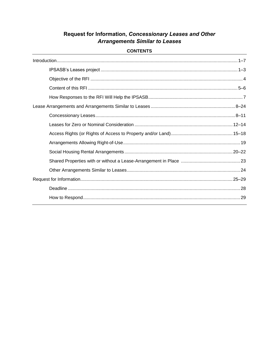# Request for Information, Concessionary Leases and Other **Arrangements Similar to Leases**

# **CONTENTS**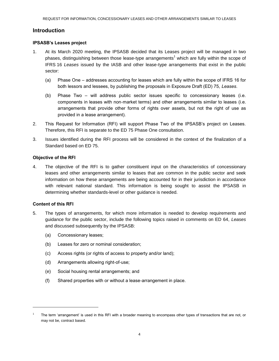# <span id="page-3-0"></span>**Introduction**

#### <span id="page-3-2"></span>**IPSASB's Leases project**

- <span id="page-3-1"></span>1. At its March 2020 meeting, the IPSASB decided that its Leases project will be managed in two phases, distinguishing between those lease-type arrangements<sup>1</sup> which are fully within the scope of IFRS 16 *Leases* issued by the IASB and other lease-type arrangements that exist in the public sector:
	- (a) Phase One addresses accounting for leases which are fully within the scope of IFRS 16 for both lessors and lessees, by publishing the proposals in Exposure Draft (ED) 75, *Leases*.
	- (b) Phase Two will address public sector issues specific to concessionary leases (i.e. components in leases with non-market terms) and other arrangements similar to leases (i.e. arrangements that provide other forms of rights over assets, but not the right of use as provided in a lease arrangement).
- 2. This Request for Information (RFI) will support Phase Two of the IPSASB's project on Leases. Therefore, this RFI is separate to the ED 75 Phase One consultation.
- <span id="page-3-3"></span>3. Issues identified during the RFI process will be considered in the context of the finalization of a Standard based on ED 75.

#### <span id="page-3-4"></span>**Objective of the RFI**

<span id="page-3-5"></span>4. The objective of the RFI is to gather constituent input on the characteristics of concessionary leases and other arrangements similar to leases that are common in the public sector and seek information on how these arrangements are being accounted for in their jurisdiction in accordance with relevant national standard. This information is being sought to assist the IPSASB in determining whether standards-level or other guidance is needed.

# <span id="page-3-6"></span>**Content of this RFI**

l

- <span id="page-3-7"></span>5. The types of arrangements, for which more information is needed to develop requirements and guidance for the public sector, include the following topics raised in comments on ED 64, *Leases*  and discussed subsequently by the IPSASB:
	- (a) Concessionary leases;
	- (b) Leases for zero or nominal consideration;
	- (c) Access rights (or rights of access to property and/or land);
	- (d) Arrangements allowing right-of-use;
	- (e) Social housing rental arrangements; and
	- (f) Shared properties with or without a lease-arrangement in place.

<sup>1</sup> The term 'arrangement' is used in this RFI with a broader meaning to encompass other types of transactions that are not, or may not be, contract based.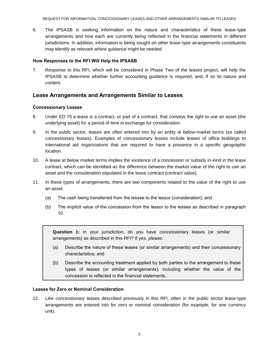REQUEST FOR INFORMATION, CONCESSIONARY LEASES AND OTHER ARRANGEMENTS SIMILAR TO LEASES

<span id="page-4-1"></span>6. The IPSASB is seeking information on the nature and characteristics of these lease-type arrangements and how each are currently being reflected in the financial statements in different jurisdictions. In addition, information is being sought on other lease-type arrangements constituents may identify as relevant where guidance might be needed.

#### <span id="page-4-2"></span>**How Responses to the RFI Will Help the IPSASB**

<span id="page-4-0"></span>7. Response to this RFI, which will be considered in Phase Two of the leases project, will help the IPSASB to determine whether further accounting guidance is required, and, if so its nature and content.

# <span id="page-4-3"></span>**Lease Arrangements and Arrangements Similar to Leases**

#### <span id="page-4-5"></span>**Concessionary Leases**

- <span id="page-4-4"></span>8. Under ED 75 a lease is a contract, or part of a contract, that conveys the right to use an asset (the underlying asset) for a period of time in exchange for consideration.
- 9. In the public sector, leases are often entered into by an entity at below-market terms (so called concessionary leases). Examples of concessionary leases include leases of office buildings to international aid organizations that are required to have a presence in a specific geographic location.
- 10. A lease at below market terms implies the existence of a concession or subsidy in-kind in the lease contract, which can be identified as the difference between the market value of the right to use an asset and the consideration stipulated in the lease contract (contract value).
- <span id="page-4-6"></span>11. In these types of arrangements, there are two components related to the value of the right to use an asset:
	- (a) The cash being transferred from the lessee to the lessor (consideration); and
	- (b) The implicit value of the concession from the lessor to the lessee as described in paragraph 10.

**Question 1:** In your jurisdiction, do you have concessionary leases (or similar arrangements) as described in this RFI? If yes, please:

- (a) Describe the nature of these leases (or similar arrangements) and their concessionary characteristics; and
- (b) Describe the accounting treatment applied by both parties to the arrangement to these types of leases (or similar arrangements), including whether the value of the concession is reflected in the financial statements.

#### <span id="page-4-7"></span>**Leases for Zero or Nominal Consideration**

<span id="page-4-8"></span>12. Like concessionary leases described previously in this RFI, often in the public sector lease-type arrangements are entered into for zero or nominal consideration (for example, for one currency unit).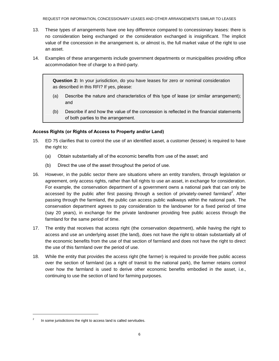- 13. These types of arrangements have one key difference compared to concessionary leases: there is no consideration being exchanged or the consideration exchanged is insignificant. The implicit value of the concession in the arrangement is, or almost is, the full market value of the right to use an asset.
- <span id="page-5-0"></span>14. Examples of these arrangements include government departments or municipalities providing office accommodation free of charge to a third-party.

**Question 2:** In your jurisdiction, do you have leases for zero or nominal consideration as described in this RFI? If yes, please:

- (a) Describe the nature and characteristics of this type of lease (or similar arrangement); and
- (b) Describe if and how the value of the concession is reflected in the financial statements of both parties to the arrangement.

# <span id="page-5-1"></span>**Access Rights (or Rights of Access to Property and/or Land)**

- <span id="page-5-2"></span>15. ED 75 clarifies that to control the use of an identified asset, a customer (lessee) is required to have the right to:
	- (a) Obtain substantially all of the economic benefits from use of the asset; and
	- (b) Direct the use of the asset throughout the period of use.
- 16. However, in the public sector there are situations where an entity transfers, through legislation or agreement, only access rights, rather than full rights to use an asset, in exchange for consideration. For example, the conservation department of a government owns a national park that can only be accessed by the public after first passing through a section of privately-owned farmland<sup>2</sup>. After passing through the farmland, the public can access public walkways within the national park. The conservation department agrees to pay consideration to the landowner for a fixed period of time (say 20 years), in exchange for the private landowner providing free public access through the farmland for the same period of time.
- 17. The entity that receives that access right (the conservation department), while having the right to access and use an underlying asset (the land), does not have the right to obtain substantially all of the economic benefits from the use of that section of farmland and does not have the right to direct the use of this farmland over the period of use.
- <span id="page-5-3"></span>18. While the entity that provides the access right (the farmer) is required to provide free public access over the section of farmland (as a right of transit to the national park), the farmer retains control over how the farmland is used to derive other economic benefits embodied in the asset, i.e., continuing to use the section of land for farming purposes.

l

<sup>2</sup> In some jurisdictions the right to access land is called servitudes.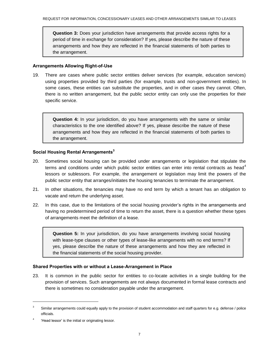**Question 3:** Does your jurisdiction have arrangements that provide access rights for a period of time in exchange for consideration? If yes, please describe the nature of these arrangements and how they are reflected in the financial statements of both parties to the arrangement.

#### <span id="page-6-0"></span>**Arrangements Allowing Right-of-Use**

<span id="page-6-1"></span>19. There are cases where public sector entities deliver services (for example, education services) using properties provided by third parties (for example, trusts and non-government entities). In some cases, these entities can substitute the properties, and in other cases they cannot. Often, there is no written arrangement, but the public sector entity can only use the properties for their specific service.

**Question 4:** In your jurisdiction, do you have arrangements with the same or similar characteristics to the one identified above? If yes, please describe the nature of these arrangements and how they are reflected in the financial statements of both parties to the arrangement.

#### <span id="page-6-2"></span>**Social Housing Rental Arrangements<sup>3</sup>**

- <span id="page-6-3"></span>20. Sometimes social housing can be provided under arrangements or legislation that stipulate the terms and conditions under which public sector entities can enter into rental contracts as head<sup>4</sup> lessors or sublessors. For example, the arrangement or legislation may limit the powers of the public sector entity that arranges/initiates the housing tenancies to terminate the arrangement.
- 21. In other situations, the tenancies may have no end term by which a tenant has an obligation to vacate and return the underlying asset.
- <span id="page-6-4"></span>22. In this case, due to the limitations of the social housing provider's rights in the arrangements and having no predetermined period of time to return the asset, there is a question whether these types of arrangements meet the definition of a lease.

**Question 5:** In your jurisdiction, do you have arrangements involving social housing with lease-type clauses or other types of lease-like arrangements with no end terms? If yes, please describe the nature of these arrangements and how they are reflected in the financial statements of the social housing provider.

# <span id="page-6-5"></span>**Shared Properties with or without a Lease-Arrangement in Place**

<span id="page-6-6"></span>23. It is common in the public sector for entities to co-locate activities in a single building for the provision of services. Such arrangements are not always documented in formal lease contracts and there is sometimes no consideration payable under the arrangement.

l

<sup>3</sup> Similar arrangements could equally apply to the provision of student accommodation and staff quarters for e.g. defense / police officials.

<sup>4</sup> 'Head lessor' is the initial or originating lessor.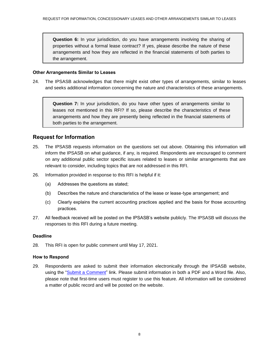**Question 6:** In your jurisdiction, do you have arrangements involving the sharing of properties without a formal lease contract? If yes, please describe the nature of these arrangements and how they are reflected in the financial statements of both parties to the arrangement.

#### <span id="page-7-1"></span>**Other Arrangements Similar to Leases**

<span id="page-7-0"></span>24. The IPSASB acknowledges that there might exist other types of arrangements, similar to leases and seeks additional information concerning the nature and characteristics of these arrangements.

**Question 7:** In your jurisdiction, do you have other types of arrangements similar to leases not mentioned in this RFI? If so, please describe the characteristics of these arrangements and how they are presently being reflected in the financial statements of both parties to the arrangement.

# <span id="page-7-2"></span>**Request for Information**

- <span id="page-7-3"></span>25. The IPSASB requests information on the questions set out above. Obtaining this information will inform the IPSASB on what guidance, if any, is required. Respondents are encouraged to comment on any additional public sector specific issues related to leases or similar arrangements that are relevant to consider, including topics that are not addressed in this RFI.
- 26. Information provided in response to this RFI is helpful if it:
	- (a) Addresses the questions as stated;
	- (b) Describes the nature and characteristics of the lease or lease-type arrangement; and
	- (c) Clearly explains the current accounting practices applied and the basis for those accounting practices.
- 27. All feedback received will be posted on the IPSASB's website publicly. The IPSASB will discuss the responses to this RFI during a future meeting.

#### <span id="page-7-5"></span>**Deadline**

<span id="page-7-7"></span><span id="page-7-6"></span>28. This RFI is open for public comment until May 17, 2021.

#### **How to Respond**

<span id="page-7-4"></span>29. Respondents are asked to submit their information electronically through the IPSASB website, using the ["Submit a Comment"](https://www.ipsasb.org/publications/request-information-concessionary-leases-and-other-arrangements-similar-leases) link. Please submit information in both a PDF and a Word file. Also, please note that first-time users must register to use this feature. All information will be considered a matter of public record and will be posted on the website.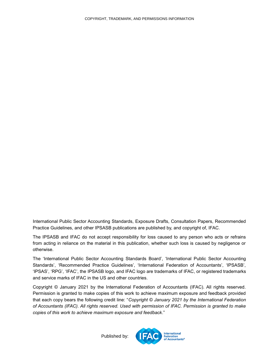<span id="page-8-0"></span>International Public Sector Accounting Standards, Exposure Drafts, Consultation Papers, Recommended Practice Guidelines, and other IPSASB publications are published by, and copyright of, IFAC.

The IPSASB and IFAC do not accept responsibility for loss caused to any person who acts or refrains from acting in reliance on the material in this publication, whether such loss is caused by negligence or otherwise.

The 'International Public Sector Accounting Standards Board', 'International Public Sector Accounting Standards', 'Recommended Practice Guidelines', 'International Federation of Accountants', 'IPSASB', 'IPSAS', 'RPG', 'IFAC', the IPSASB logo, and IFAC logo are trademarks of IFAC, or registered trademarks and service marks of IFAC in the US and other countries.

Copyright © January 2021 by the International Federation of Accountants (IFAC). All rights reserved. Permission is granted to make copies of this work to achieve maximum exposure and feedback provided that each copy bears the following credit line: "*Copyright © January 2021 by the International Federation of Accountants (IFAC). All rights reserved. Used with permission of IFAC. Permission is granted to make copies of this work to achieve maximum exposure and feedback*."

Published by: